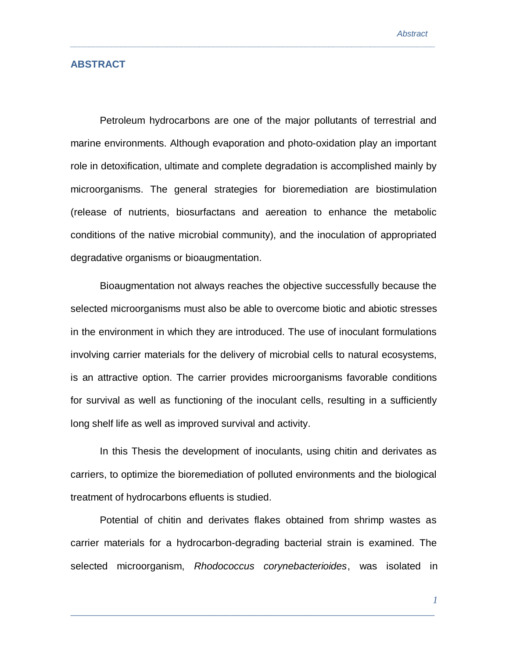## **ABSTRACT**

Petroleum hydrocarbons are one of the major pollutants of terrestrial and marine environments. Although evaporation and photo-oxidation play an important role in detoxification, ultimate and complete degradation is accomplished mainly by microorganisms. The general strategies for bioremediation are biostimulation (release of nutrients, biosurfactans and aereation to enhance the metabolic conditions of the native microbial community), and the inoculation of appropriated degradative organisms or bioaugmentation.

*\_\_\_\_\_\_\_\_\_\_\_\_\_\_\_\_\_\_\_\_\_\_\_\_\_\_\_\_\_\_\_\_\_\_\_\_\_\_\_\_\_\_\_\_\_\_\_\_\_\_\_\_\_\_\_\_\_\_\_\_\_\_\_\_\_\_\_\_\_\_\_\_\_\_\_\_\_\_\_* 

Bioaugmentation not always reaches the objective successfully because the selected microorganisms must also be able to overcome biotic and abiotic stresses in the environment in which they are introduced. The use of inoculant formulations involving carrier materials for the delivery of microbial cells to natural ecosystems, is an attractive option. The carrier provides microorganisms favorable conditions for survival as well as functioning of the inoculant cells, resulting in a sufficiently long shelf life as well as improved survival and activity.

In this Thesis the development of inoculants, using chitin and derivates as carriers, to optimize the bioremediation of polluted environments and the biological treatment of hydrocarbons efluents is studied.

Potential of chitin and derivates flakes obtained from shrimp wastes as carrier materials for a hydrocarbon-degrading bacterial strain is examined. The selected microorganism, *Rhodococcus corynebacterioides*, was isolated in

\_\_\_\_\_\_\_\_\_\_\_\_\_\_\_\_\_\_\_\_\_\_\_\_\_\_\_\_\_\_\_\_\_\_\_\_\_\_\_\_\_\_\_\_\_\_\_\_\_\_\_\_\_\_\_\_\_\_\_\_\_\_\_\_\_\_\_\_\_\_\_\_\_

*1*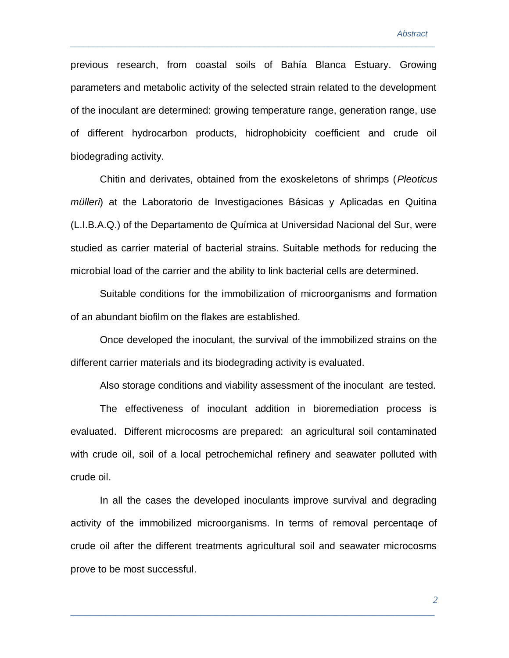previous research, from coastal soils of Bahía Blanca Estuary. Growing parameters and metabolic activity of the selected strain related to the development of the inoculant are determined: growing temperature range, generation range, use of different hydrocarbon products, hidrophobicity coefficient and crude oil biodegrading activity.

*\_\_\_\_\_\_\_\_\_\_\_\_\_\_\_\_\_\_\_\_\_\_\_\_\_\_\_\_\_\_\_\_\_\_\_\_\_\_\_\_\_\_\_\_\_\_\_\_\_\_\_\_\_\_\_\_\_\_\_\_\_\_\_\_\_\_\_\_\_\_\_\_\_\_\_\_\_\_\_* 

Chitin and derivates, obtained from the exoskeletons of shrimps (*Pleoticus mülleri*) at the Laboratorio de Investigaciones Básicas y Aplicadas en Quitina (L.I.B.A.Q.) of the Departamento de Química at Universidad Nacional del Sur, were studied as carrier material of bacterial strains. Suitable methods for reducing the microbial load of the carrier and the ability to link bacterial cells are determined.

Suitable conditions for the immobilization of microorganisms and formation of an abundant biofilm on the flakes are established.

Once developed the inoculant, the survival of the immobilized strains on the different carrier materials and its biodegrading activity is evaluated.

Also storage conditions and viability assessment of the inoculant are tested.

The effectiveness of inoculant addition in bioremediation process is evaluated. Different microcosms are prepared: an agricultural soil contaminated with crude oil, soil of a local petrochemichal refinery and seawater polluted with crude oil.

In all the cases the developed inoculants improve survival and degrading activity of the immobilized microorganisms. In terms of removal percentaqe of crude oil after the different treatments agricultural soil and seawater microcosms prove to be most successful.

\_\_\_\_\_\_\_\_\_\_\_\_\_\_\_\_\_\_\_\_\_\_\_\_\_\_\_\_\_\_\_\_\_\_\_\_\_\_\_\_\_\_\_\_\_\_\_\_\_\_\_\_\_\_\_\_\_\_\_\_\_\_\_\_\_\_\_\_\_\_\_\_\_

*2*